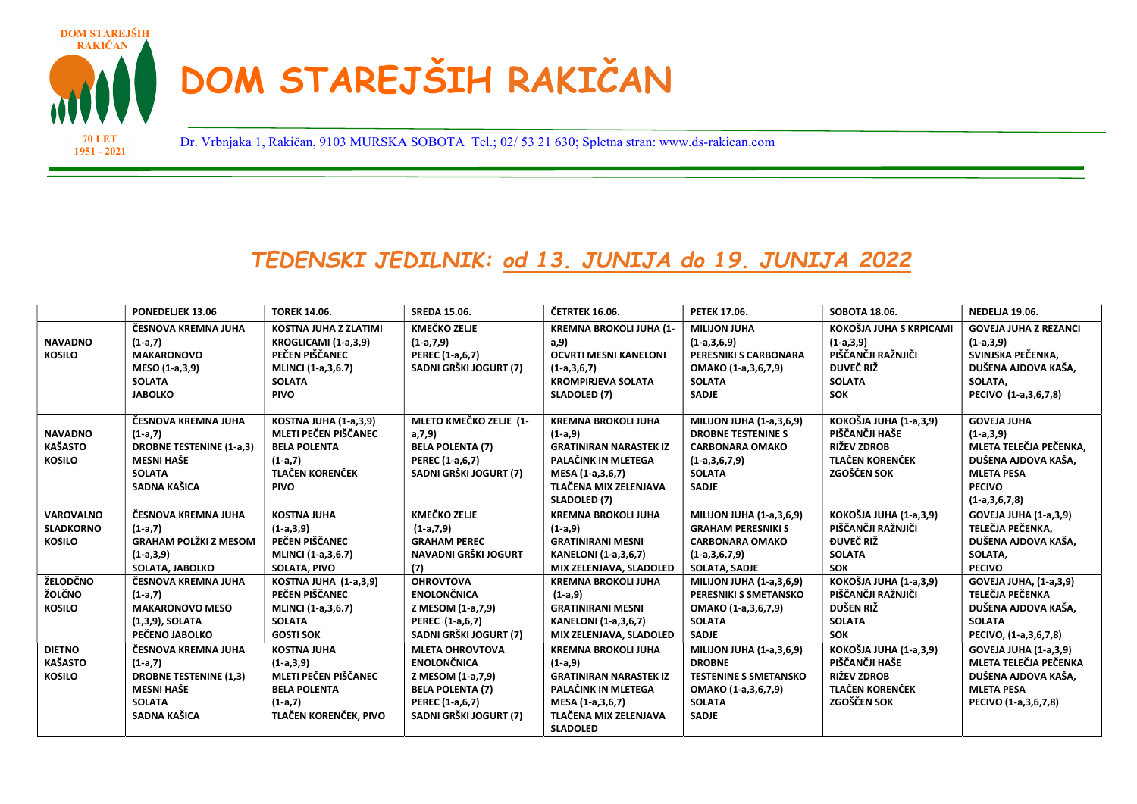

1951 - 2021

Dr. Vrbnjaka 1, Rakičan, 9103 MURSKA SOBOTA Tel.; 02/ 53 21 630; Spletna stran: www.ds-rakican.com 70 LET

## TEDENSKI JEDILNIK: od 13. JUNIJA do 19. JUNIJA 2022

|                  | PONEDELJEK 13.06                | <b>TOREK 14.06.</b>    | <b>SREDA 15.06.</b>     | <b>ČETRTEK 16.06.</b>          | PETEK 17.06.                    | SOBOTA 18.06.                 | <b>NEDELJA 19.06.</b>         |
|------------------|---------------------------------|------------------------|-------------------------|--------------------------------|---------------------------------|-------------------------------|-------------------------------|
|                  | ČESNOVA KREMNA JUHA             | KOSTNA JUHA Z ZLATIMI  | <b>KMEČKO ZELJE</b>     | <b>KREMNA BROKOLI JUHA (1-</b> | <b>MILIJON JUHA</b>             | KOKOŠJA JUHA S KRPICAMI       | <b>GOVEJA JUHA Z REZANCI</b>  |
| <b>NAVADNO</b>   | $(1-a,7)$                       | KROGLICAMI (1-a,3,9)   | $(1-a,7,9)$             | a, 9)                          | $(1-a,3,6,9)$                   | $(1-a,3,9)$                   | $(1-a,3,9)$                   |
| <b>KOSILO</b>    | <b>MAKARONOVO</b>               | PEČEN PIŠČANEC         | PEREC (1-a,6,7)         | <b>OCVRTI MESNI KANELONI</b>   | PERESNIKI S CARBONARA           | PIŠČANČJI RAŽNJIČI            | SVINJSKA PEČENKA,             |
|                  | MESO (1-a,3,9)                  | MLINCI (1-a,3,6.7)     | SADNI GRŠKI JOGURT (7)  | $(1-a,3,6,7)$                  | OMAKO (1-a,3,6,7,9)             | ĐUVEČ RIŽ                     | DUŠENA AJDOVA KAŠA,           |
|                  | <b>SOLATA</b>                   | <b>SOLATA</b>          |                         | <b>KROMPIRJEVA SOLATA</b>      | <b>SOLATA</b>                   | <b>SOLATA</b>                 | SOLATA.                       |
|                  | <b>JABOLKO</b>                  | <b>PIVO</b>            |                         | SLADOLED (7)                   | <b>SADJE</b>                    | <b>SOK</b>                    | PECIVO (1-a,3,6,7,8)          |
|                  | ČESNOVA KREMNA JUHA             | KOSTNA JUHA (1-a,3,9)  | MLETO KMEČKO ZELJE (1-  | <b>KREMNA BROKOLI JUHA</b>     | <b>MILIJON JUHA (1-a,3,6,9)</b> | KOKOŠJA JUHA (1-a,3,9)        | <b>GOVEJA JUHA</b>            |
| <b>NAVADNO</b>   | $(1-a,7)$                       | MLETI PEČEN PIŠČANEC   | a, 7, 9                 | $(1-a,9)$                      | <b>DROBNE TESTENINE S</b>       | PIŠČANČJI HAŠE                | $(1-a,3,9)$                   |
| <b>KAŠASTO</b>   | <b>DROBNE TESTENINE (1-a,3)</b> | <b>BELA POLENTA</b>    | <b>BELA POLENTA (7)</b> | <b>GRATINIRAN NARASTEK IZ</b>  | <b>CARBONARA OMAKO</b>          | <b>RIŽEV ZDROB</b>            | MLETA TELEČJA PEČENKA.        |
| <b>KOSILO</b>    | <b>MESNI HAŠE</b>               | $(1-a,7)$              | PEREC (1-a,6,7)         | PALAČINK IN MLETEGA            | $(1-a,3,6,7,9)$                 | <b>TLAČEN KORENČEK</b>        | DUŠENA AJDOVA KAŠA.           |
|                  | <b>SOLATA</b>                   | <b>TLAČEN KORENČEK</b> | SADNI GRŠKI JOGURT (7)  | MESA (1-a,3,6,7)               | <b>SOLATA</b>                   | <b>ZGOŠČEN SOK</b>            | <b>MLETA PESA</b>             |
|                  | SADNA KAŠICA                    | <b>PIVO</b>            |                         | TLAČENA MIX ZELENJAVA          | <b>SADJE</b>                    |                               | <b>PECIVO</b>                 |
|                  |                                 |                        |                         | SLADOLED (7)                   |                                 |                               | $(1-a,3,6,7,8)$               |
| <b>VAROVALNO</b> | ČESNOVA KREMNA JUHA             | <b>KOSTNA JUHA</b>     | <b>KMEČKO ZELJE</b>     | <b>KREMNA BROKOLI JUHA</b>     | MILIJON JUHA (1-a,3,6,9)        | <b>КОКОŠЈА ЈИНА (1-а,3,9)</b> | <b>GOVEJA JUHA (1-a,3,9)</b>  |
| <b>SLADKORNO</b> | $(1-a,7)$                       | $(1-a,3,9)$            | $(1-a,7,9)$             | $(1-a, 9)$                     | <b>GRAHAM PERESNIKI S</b>       | PIŠČANČJI RAŽNJIČI            | TELEČJA PEČENKA.              |
| <b>KOSILO</b>    | GRAHAM POLŽKI Z MESOM           | PEČEN PIŠČANEC         | <b>GRAHAM PEREC</b>     | <b>GRATINIRANI MESNI</b>       | <b>CARBONARA OMAKO</b>          | ĐUVEČ RIŽ                     | DUŠENA AJDOVA KAŠA,           |
|                  | $(1-a,3,9)$                     | MLINCI (1-a,3,6.7)     | NAVADNI GRŠKI JOGURT    | <b>KANELONI</b> (1-a, 3, 6, 7) | $(1-a,3,6,7,9)$                 | <b>SOLATA</b>                 | SOLATA,                       |
|                  | SOLATA, JABOLKO                 | SOLATA, PIVO           | (7)                     | MIX ZELENJAVA, SLADOLED        | SOLATA, SADJE                   | <b>SOK</b>                    | <b>PECIVO</b>                 |
| ŽELODČNO         | ČESNOVA KREMNA JUHA             | KOSTNA JUHA (1-a,3,9)  | <b>OHROVTOVA</b>        | <b>KREMNA BROKOLI JUHA</b>     | MILIJON JUHA (1-a,3,6,9)        | KOKOŠJA JUHA (1-a,3,9)        | <b>GOVEJA JUHA, (1-a,3,9)</b> |
| ŽOLČNO           | $(1-a,7)$                       | PEČEN PIŠČANEC         | <b>ENOLONČNICA</b>      | $(1-a, 9)$                     | PERESNIKI S SMETANSKO           | PIŠČANČJI RAŽNJIČI            | TELEČJA PEČENKA               |
| <b>KOSILO</b>    | <b>MAKARONOVO MESO</b>          | MLINCI (1-a,3,6.7)     | Z MESOM (1-a,7,9)       | <b>GRATINIRANI MESNI</b>       | OMAKO (1-a,3,6,7,9)             | DUŠEN RIŽ                     | DUŠENA AJDOVA KAŠA,           |
|                  | (1,3,9), SOLATA                 | <b>SOLATA</b>          | PEREC (1-a,6,7)         | <b>KANELONI</b> (1-a, 3, 6, 7) | <b>SOLATA</b>                   | <b>SOLATA</b>                 | <b>SOLATA</b>                 |
|                  | PEČENO JABOLKO                  | <b>GOSTI SOK</b>       | SADNI GRŠKI JOGURT (7)  | MIX ZELENJAVA, SLADOLED        | <b>SADJE</b>                    | <b>SOK</b>                    | PECIVO, (1-a,3,6,7,8)         |
| <b>DIETNO</b>    | ČESNOVA KREMNA JUHA             | <b>KOSTNA JUHA</b>     | <b>MLETA OHROVTOVA</b>  | <b>KREMNA BROKOLI JUHA</b>     | MILIJON JUHA (1-a,3,6,9)        | KOKOŠJA JUHA (1-a,3,9)        | <b>GOVEJA JUHA (1-a,3,9)</b>  |
| <b>KAŠASTO</b>   | $(1-a,7)$                       | $(1-a,3,9)$            | <b>ENOLONČNICA</b>      | $(1-a,9)$                      | <b>DROBNE</b>                   | PIŠČANČJI HAŠE                | MLETA TELEČJA PEČENKA         |
| <b>KOSILO</b>    | <b>DROBNE TESTENINE (1,3)</b>   | MLETI PEČEN PIŠČANEC   | Z MESOM (1-a,7,9)       | <b>GRATINIRAN NARASTEK IZ</b>  | <b>TESTENINE S SMETANSKO</b>    | RIŽEV ZDROB                   | DUŠENA AJDOVA KAŠA,           |
|                  | MESNI HAŠE                      | <b>BELA POLENTA</b>    | <b>BELA POLENTA (7)</b> | PALAČINK IN MLETEGA            | OMAKO (1-a,3,6,7,9)             | <b>TLAČEN KORENČEK</b>        | <b>MLETA PESA</b>             |
|                  | <b>SOLATA</b>                   | $(1-a,7)$              | PEREC (1-a,6,7)         | MESA (1-a,3,6,7)               | <b>SOLATA</b>                   | <b>ZGOŠČEN SOK</b>            | PECIVO (1-a,3,6,7,8)          |
|                  | SADNA KAŠICA                    | TLAČEN KORENČEK. PIVO  | SADNI GRŠKI JOGURT (7)  | TLAČENA MIX ZELENJAVA          | <b>SADJE</b>                    |                               |                               |
|                  |                                 |                        |                         | <b>SLADOLED</b>                |                                 |                               |                               |